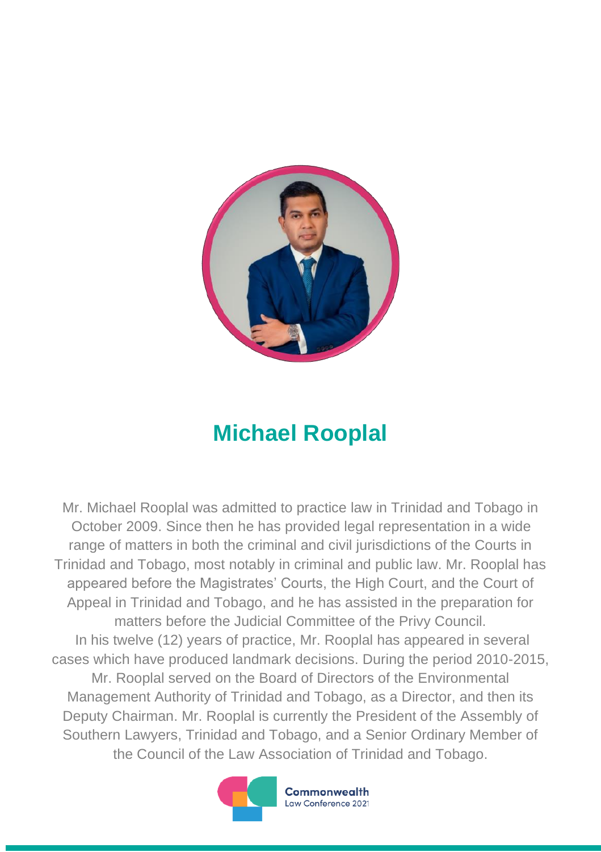

## **Michael Rooplal**

Mr. Michael Rooplal was admitted to practice law in Trinidad and Tobago in October 2009. Since then he has provided legal representation in a wide range of matters in both the criminal and civil jurisdictions of the Courts in Trinidad and Tobago, most notably in criminal and public law. Mr. Rooplal has appeared before the Magistrates' Courts, the High Court, and the Court of Appeal in Trinidad and Tobago, and he has assisted in the preparation for matters before the Judicial Committee of the Privy Council. In his twelve (12) years of practice, Mr. Rooplal has appeared in several cases which have produced landmark decisions. During the period 2010-2015, Mr. Rooplal served on the Board of Directors of the Environmental Management Authority of Trinidad and Tobago, as a Director, and then its Deputy Chairman. Mr. Rooplal is currently the President of the Assembly of Southern Lawyers, Trinidad and Tobago, and a Senior Ordinary Member of the Council of the Law Association of Trinidad and Tobago.



Commonwealth Law Conference 2021